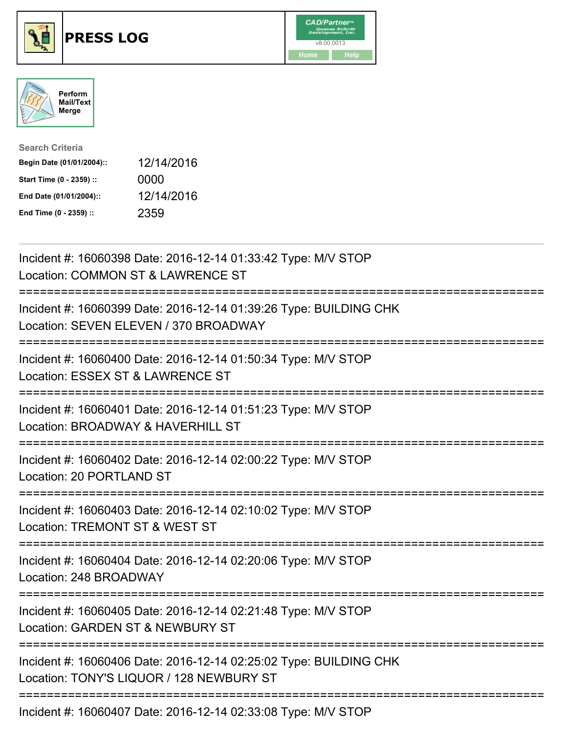





| <b>Search Criteria</b>    |            |
|---------------------------|------------|
| Begin Date (01/01/2004):: | 12/14/2016 |
| Start Time (0 - 2359) ::  | 0000       |
| End Date (01/01/2004)::   | 12/14/2016 |
| End Time (0 - 2359) ::    | 2359       |

| Incident #: 16060398 Date: 2016-12-14 01:33:42 Type: M/V STOP<br>Location: COMMON ST & LAWRENCE ST                |
|-------------------------------------------------------------------------------------------------------------------|
| Incident #: 16060399 Date: 2016-12-14 01:39:26 Type: BUILDING CHK<br>Location: SEVEN ELEVEN / 370 BROADWAY        |
| Incident #: 16060400 Date: 2016-12-14 01:50:34 Type: M/V STOP<br>Location: ESSEX ST & LAWRENCE ST                 |
| Incident #: 16060401 Date: 2016-12-14 01:51:23 Type: M/V STOP<br>Location: BROADWAY & HAVERHILL ST<br>._________. |
| Incident #: 16060402 Date: 2016-12-14 02:00:22 Type: M/V STOP<br>Location: 20 PORTLAND ST<br>-------------        |
| Incident #: 16060403 Date: 2016-12-14 02:10:02 Type: M/V STOP<br>Location: TREMONT ST & WEST ST                   |
| Incident #: 16060404 Date: 2016-12-14 02:20:06 Type: M/V STOP<br>Location: 248 BROADWAY                           |
| Incident #: 16060405 Date: 2016-12-14 02:21:48 Type: M/V STOP<br>Location: GARDEN ST & NEWBURY ST                 |
| Incident #: 16060406 Date: 2016-12-14 02:25:02 Type: BUILDING CHK<br>Location: TONY'S LIQUOR / 128 NEWBURY ST     |
| Incident #: 16060407 Date: 2016-12-14 02:33:08 Type: M/V STOP                                                     |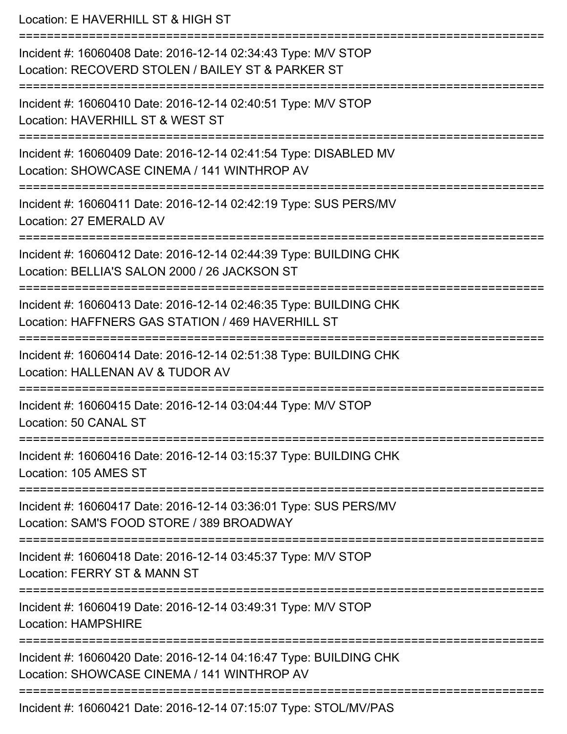Location: E HAVERHILL ST & HIGH ST =========================================================================== Incident #: 16060408 Date: 2016-12-14 02:34:43 Type: M/V STOP Location: RECOVERD STOLEN / BAILEY ST & PARKER ST =========================================================================== Incident #: 16060410 Date: 2016-12-14 02:40:51 Type: M/V STOP Location: HAVERHILL ST & WEST ST =========================================================================== Incident #: 16060409 Date: 2016-12-14 02:41:54 Type: DISABLED MV Location: SHOWCASE CINEMA / 141 WINTHROP AV =========================================================================== Incident #: 16060411 Date: 2016-12-14 02:42:19 Type: SUS PERS/MV Location: 27 EMERALD AV =========================================================================== Incident #: 16060412 Date: 2016-12-14 02:44:39 Type: BUILDING CHK Location: BELLIA'S SALON 2000 / 26 JACKSON ST =========================================================================== Incident #: 16060413 Date: 2016-12-14 02:46:35 Type: BUILDING CHK Location: HAFFNERS GAS STATION / 469 HAVERHILL ST =========================================================================== Incident #: 16060414 Date: 2016-12-14 02:51:38 Type: BUILDING CHK Location: HALLENAN AV & TUDOR AV =========================================================================== Incident #: 16060415 Date: 2016-12-14 03:04:44 Type: M/V STOP Location: 50 CANAL ST =========================================================================== Incident #: 16060416 Date: 2016-12-14 03:15:37 Type: BUILDING CHK Location: 105 AMES ST =========================================================================== Incident #: 16060417 Date: 2016-12-14 03:36:01 Type: SUS PERS/MV Location: SAM'S FOOD STORE / 389 BROADWAY =========================================================================== Incident #: 16060418 Date: 2016-12-14 03:45:37 Type: M/V STOP Location: FERRY ST & MANN ST =========================================================================== Incident #: 16060419 Date: 2016-12-14 03:49:31 Type: M/V STOP Location: HAMPSHIRE =========================================================================== Incident #: 16060420 Date: 2016-12-14 04:16:47 Type: BUILDING CHK Location: SHOWCASE CINEMA / 141 WINTHROP AV =========================================================================== Incident #: 16060421 Date: 2016-12-14 07:15:07 Type: STOL/MV/PAS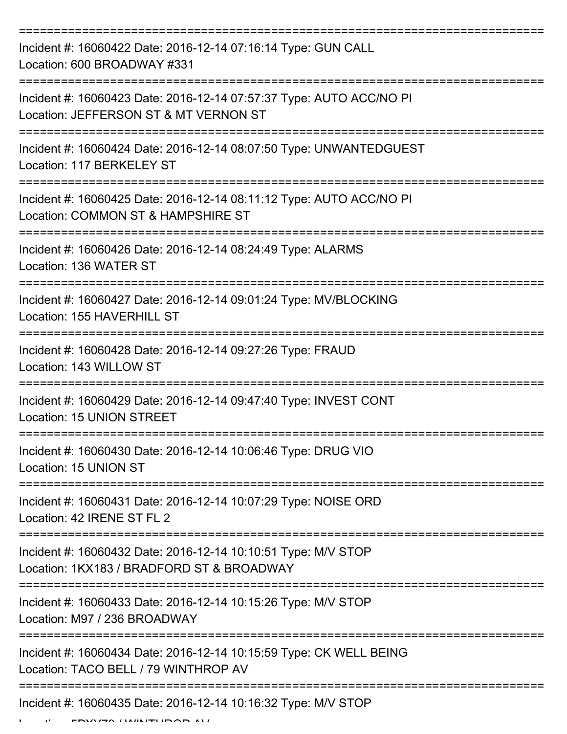| Incident #: 16060422 Date: 2016-12-14 07:16:14 Type: GUN CALL<br>Location: 600 BROADWAY #331                                     |
|----------------------------------------------------------------------------------------------------------------------------------|
| Incident #: 16060423 Date: 2016-12-14 07:57:37 Type: AUTO ACC/NO PI<br>Location: JEFFERSON ST & MT VERNON ST                     |
| Incident #: 16060424 Date: 2016-12-14 08:07:50 Type: UNWANTEDGUEST<br>Location: 117 BERKELEY ST                                  |
| Incident #: 16060425 Date: 2016-12-14 08:11:12 Type: AUTO ACC/NO PI<br>Location: COMMON ST & HAMPSHIRE ST                        |
| Incident #: 16060426 Date: 2016-12-14 08:24:49 Type: ALARMS<br>Location: 136 WATER ST                                            |
| Incident #: 16060427 Date: 2016-12-14 09:01:24 Type: MV/BLOCKING<br>Location: 155 HAVERHILL ST                                   |
| Incident #: 16060428 Date: 2016-12-14 09:27:26 Type: FRAUD<br>Location: 143 WILLOW ST                                            |
| Incident #: 16060429 Date: 2016-12-14 09:47:40 Type: INVEST CONT<br>Location: 15 UNION STREET                                    |
| Incident #: 16060430 Date: 2016-12-14 10:06:46 Type: DRUG VIO<br>Location: 15 UNION ST                                           |
| Incident #: 16060431 Date: 2016-12-14 10:07:29 Type: NOISE ORD<br>Location: 42 IRENE ST FL 2                                     |
| Incident #: 16060432 Date: 2016-12-14 10:10:51 Type: M/V STOP<br>Location: 1KX183 / BRADFORD ST & BROADWAY                       |
| Incident #: 16060433 Date: 2016-12-14 10:15:26 Type: M/V STOP<br>Location: M97 / 236 BROADWAY                                    |
| Incident #: 16060434 Date: 2016-12-14 10:15:59 Type: CK WELL BEING<br>Location: TACO BELL / 79 WINTHROP AV                       |
| ----------------------------<br>-------------------------------<br>Incident #: 16060435 Date: 2016-12-14 10:16:32 Type: M/V STOP |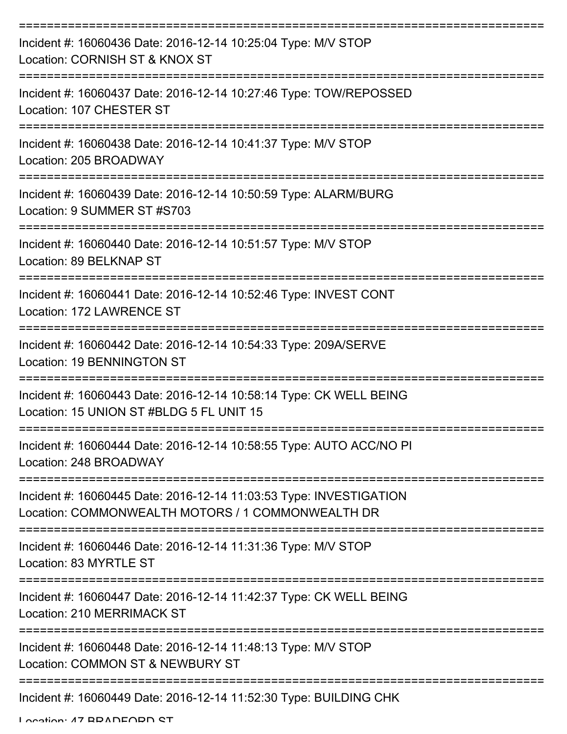| Incident #: 16060436 Date: 2016-12-14 10:25:04 Type: M/V STOP<br>Location: CORNISH ST & KNOX ST                         |
|-------------------------------------------------------------------------------------------------------------------------|
| Incident #: 16060437 Date: 2016-12-14 10:27:46 Type: TOW/REPOSSED<br>Location: 107 CHESTER ST                           |
| Incident #: 16060438 Date: 2016-12-14 10:41:37 Type: M/V STOP<br>Location: 205 BROADWAY                                 |
| Incident #: 16060439 Date: 2016-12-14 10:50:59 Type: ALARM/BURG<br>Location: 9 SUMMER ST #S703                          |
| Incident #: 16060440 Date: 2016-12-14 10:51:57 Type: M/V STOP<br>Location: 89 BELKNAP ST                                |
| Incident #: 16060441 Date: 2016-12-14 10:52:46 Type: INVEST CONT<br>Location: 172 LAWRENCE ST                           |
| Incident #: 16060442 Date: 2016-12-14 10:54:33 Type: 209A/SERVE<br><b>Location: 19 BENNINGTON ST</b>                    |
| Incident #: 16060443 Date: 2016-12-14 10:58:14 Type: CK WELL BEING<br>Location: 15 UNION ST #BLDG 5 FL UNIT 15          |
| Incident #: 16060444 Date: 2016-12-14 10:58:55 Type: AUTO ACC/NO PI<br>Location: 248 BROADWAY                           |
| Incident #: 16060445 Date: 2016-12-14 11:03:53 Type: INVESTIGATION<br>Location: COMMONWEALTH MOTORS / 1 COMMONWEALTH DR |
| Incident #: 16060446 Date: 2016-12-14 11:31:36 Type: M/V STOP<br>Location: 83 MYRTLE ST                                 |
| Incident #: 16060447 Date: 2016-12-14 11:42:37 Type: CK WELL BEING<br>Location: 210 MERRIMACK ST                        |
| Incident #: 16060448 Date: 2016-12-14 11:48:13 Type: M/V STOP<br>Location: COMMON ST & NEWBURY ST                       |
| Incident #: 16060449 Date: 2016-12-14 11:52:30 Type: BUILDING CHK                                                       |

Location: 47 BDANEODN ST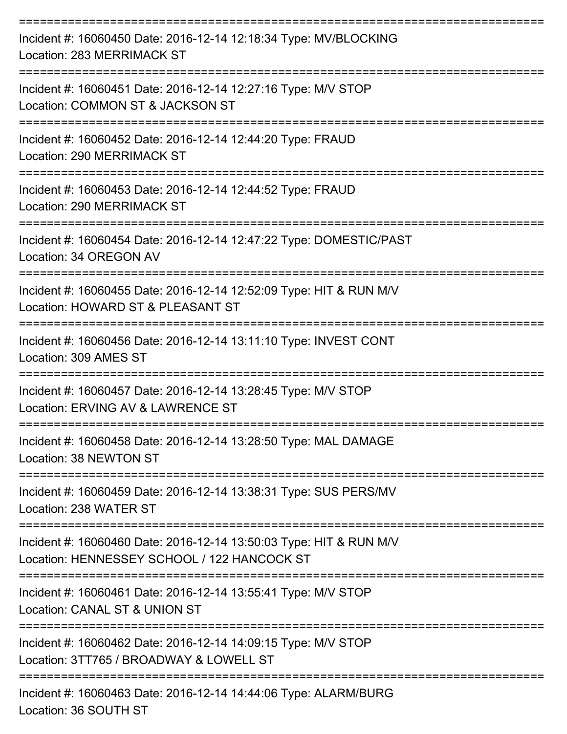| Incident #: 16060450 Date: 2016-12-14 12:18:34 Type: MV/BLOCKING<br>Location: 283 MERRIMACK ST                    |
|-------------------------------------------------------------------------------------------------------------------|
| Incident #: 16060451 Date: 2016-12-14 12:27:16 Type: M/V STOP<br>Location: COMMON ST & JACKSON ST                 |
| Incident #: 16060452 Date: 2016-12-14 12:44:20 Type: FRAUD<br>Location: 290 MERRIMACK ST                          |
| Incident #: 16060453 Date: 2016-12-14 12:44:52 Type: FRAUD<br>Location: 290 MERRIMACK ST                          |
| ===============<br>Incident #: 16060454 Date: 2016-12-14 12:47:22 Type: DOMESTIC/PAST<br>Location: 34 OREGON AV   |
| Incident #: 16060455 Date: 2016-12-14 12:52:09 Type: HIT & RUN M/V<br>Location: HOWARD ST & PLEASANT ST           |
| Incident #: 16060456 Date: 2016-12-14 13:11:10 Type: INVEST CONT<br>Location: 309 AMES ST                         |
| Incident #: 16060457 Date: 2016-12-14 13:28:45 Type: M/V STOP<br>Location: ERVING AV & LAWRENCE ST                |
| Incident #: 16060458 Date: 2016-12-14 13:28:50 Type: MAL DAMAGE<br>Location: 38 NEWTON ST                         |
| Incident #: 16060459 Date: 2016-12-14 13:38:31 Type: SUS PERS/MV<br>Location: 238 WATER ST                        |
| Incident #: 16060460 Date: 2016-12-14 13:50:03 Type: HIT & RUN M/V<br>Location: HENNESSEY SCHOOL / 122 HANCOCK ST |
| Incident #: 16060461 Date: 2016-12-14 13:55:41 Type: M/V STOP<br>Location: CANAL ST & UNION ST                    |
| Incident #: 16060462 Date: 2016-12-14 14:09:15 Type: M/V STOP<br>Location: 3TT765 / BROADWAY & LOWELL ST          |
| Incident #: 16060463 Date: 2016-12-14 14:44:06 Type: ALARM/BURG                                                   |

Location: 36 SOUTH ST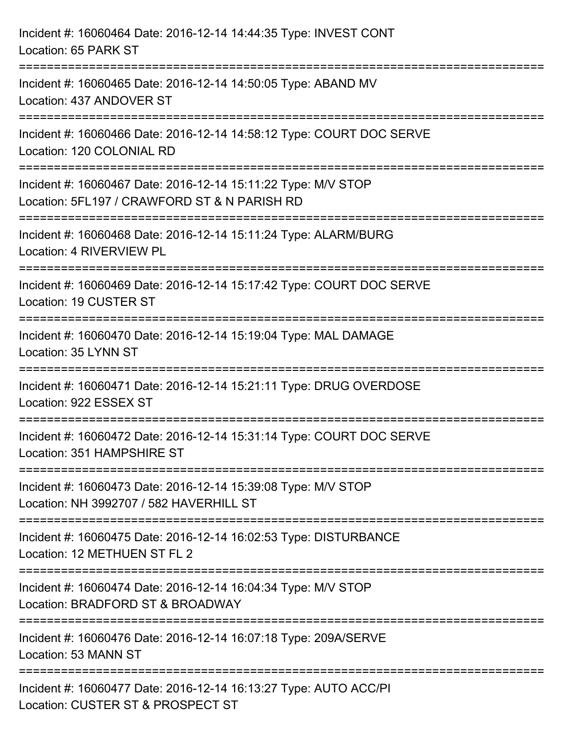| Incident #: 16060464 Date: 2016-12-14 14:44:35 Type: INVEST CONT<br>Location: 65 PARK ST                                               |  |
|----------------------------------------------------------------------------------------------------------------------------------------|--|
| Incident #: 16060465 Date: 2016-12-14 14:50:05 Type: ABAND MV<br>Location: 437 ANDOVER ST                                              |  |
| Incident #: 16060466 Date: 2016-12-14 14:58:12 Type: COURT DOC SERVE<br>Location: 120 COLONIAL RD<br>=========================         |  |
| Incident #: 16060467 Date: 2016-12-14 15:11:22 Type: M/V STOP<br>Location: 5FL197 / CRAWFORD ST & N PARISH RD<br>:==================== |  |
| Incident #: 16060468 Date: 2016-12-14 15:11:24 Type: ALARM/BURG<br>Location: 4 RIVERVIEW PL<br>==============================          |  |
| Incident #: 16060469 Date: 2016-12-14 15:17:42 Type: COURT DOC SERVE<br>Location: 19 CUSTER ST                                         |  |
| Incident #: 16060470 Date: 2016-12-14 15:19:04 Type: MAL DAMAGE<br>Location: 35 LYNN ST                                                |  |
| Incident #: 16060471 Date: 2016-12-14 15:21:11 Type: DRUG OVERDOSE<br>Location: 922 ESSEX ST                                           |  |
| Incident #: 16060472 Date: 2016-12-14 15:31:14 Type: COURT DOC SERVE<br>Location: 351 HAMPSHIRE ST                                     |  |
| Incident #: 16060473 Date: 2016-12-14 15:39:08 Type: M/V STOP<br>Location: NH 3992707 / 582 HAVERHILL ST                               |  |
| Incident #: 16060475 Date: 2016-12-14 16:02:53 Type: DISTURBANCE<br>Location: 12 METHUEN ST FL 2                                       |  |
| Incident #: 16060474 Date: 2016-12-14 16:04:34 Type: M/V STOP<br>Location: BRADFORD ST & BROADWAY                                      |  |
| Incident #: 16060476 Date: 2016-12-14 16:07:18 Type: 209A/SERVE<br>Location: 53 MANN ST                                                |  |
| Incident #: 16060477 Date: 2016-12-14 16:13:27 Type: AUTO ACC/PI<br>Location: CUSTER ST & PROSPECT ST                                  |  |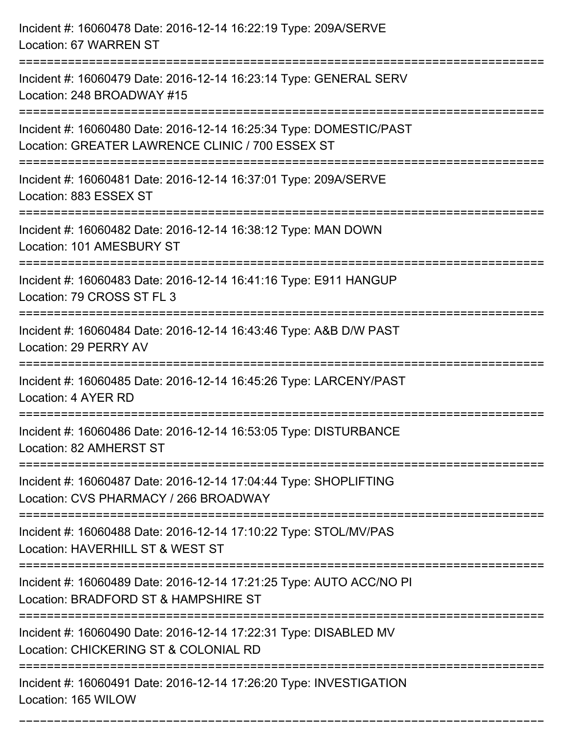| Incident #: 16060478 Date: 2016-12-14 16:22:19 Type: 209A/SERVE<br>Location: 67 WARREN ST                                                        |
|--------------------------------------------------------------------------------------------------------------------------------------------------|
| Incident #: 16060479 Date: 2016-12-14 16:23:14 Type: GENERAL SERV<br>Location: 248 BROADWAY #15                                                  |
| Incident #: 16060480 Date: 2016-12-14 16:25:34 Type: DOMESTIC/PAST<br>Location: GREATER LAWRENCE CLINIC / 700 ESSEX ST                           |
| Incident #: 16060481 Date: 2016-12-14 16:37:01 Type: 209A/SERVE<br>Location: 883 ESSEX ST                                                        |
| Incident #: 16060482 Date: 2016-12-14 16:38:12 Type: MAN DOWN<br>Location: 101 AMESBURY ST                                                       |
| Incident #: 16060483 Date: 2016-12-14 16:41:16 Type: E911 HANGUP<br>Location: 79 CROSS ST FL 3                                                   |
| Incident #: 16060484 Date: 2016-12-14 16:43:46 Type: A&B D/W PAST<br>Location: 29 PERRY AV                                                       |
| Incident #: 16060485 Date: 2016-12-14 16:45:26 Type: LARCENY/PAST<br>Location: 4 AYER RD                                                         |
| Incident #: 16060486 Date: 2016-12-14 16:53:05 Type: DISTURBANCE<br>Location: 82 AMHERST ST                                                      |
| Incident #: 16060487 Date: 2016-12-14 17:04:44 Type: SHOPLIFTING<br>Location: CVS PHARMACY / 266 BROADWAY<br>=================================== |
| Incident #: 16060488 Date: 2016-12-14 17:10:22 Type: STOL/MV/PAS<br>Location: HAVERHILL ST & WEST ST                                             |
| Incident #: 16060489 Date: 2016-12-14 17:21:25 Type: AUTO ACC/NO PI<br>Location: BRADFORD ST & HAMPSHIRE ST                                      |
| Incident #: 16060490 Date: 2016-12-14 17:22:31 Type: DISABLED MV<br>Location: CHICKERING ST & COLONIAL RD                                        |
| Incident #: 16060491 Date: 2016-12-14 17:26:20 Type: INVESTIGATION<br>Location: 165 WILOW                                                        |

===========================================================================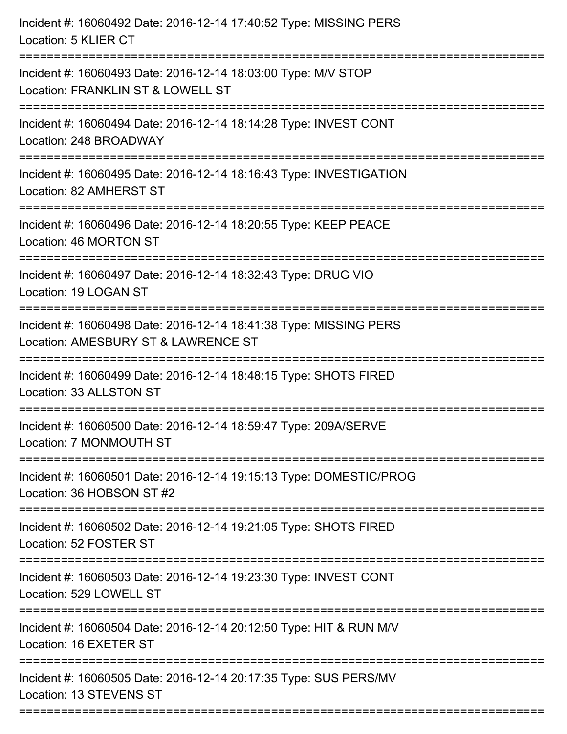| Incident #: 16060492 Date: 2016-12-14 17:40:52 Type: MISSING PERS<br>Location: 5 KLIER CT                |
|----------------------------------------------------------------------------------------------------------|
| Incident #: 16060493 Date: 2016-12-14 18:03:00 Type: M/V STOP<br>Location: FRANKLIN ST & LOWELL ST       |
| Incident #: 16060494 Date: 2016-12-14 18:14:28 Type: INVEST CONT<br>Location: 248 BROADWAY               |
| Incident #: 16060495 Date: 2016-12-14 18:16:43 Type: INVESTIGATION<br>Location: 82 AMHERST ST            |
| Incident #: 16060496 Date: 2016-12-14 18:20:55 Type: KEEP PEACE<br>Location: 46 MORTON ST                |
| Incident #: 16060497 Date: 2016-12-14 18:32:43 Type: DRUG VIO<br>Location: 19 LOGAN ST                   |
| Incident #: 16060498 Date: 2016-12-14 18:41:38 Type: MISSING PERS<br>Location: AMESBURY ST & LAWRENCE ST |
| Incident #: 16060499 Date: 2016-12-14 18:48:15 Type: SHOTS FIRED<br>Location: 33 ALLSTON ST              |
| Incident #: 16060500 Date: 2016-12-14 18:59:47 Type: 209A/SERVE<br>Location: 7 MONMOUTH ST               |
| Incident #: 16060501 Date: 2016-12-14 19:15:13 Type: DOMESTIC/PROG<br>Location: 36 HOBSON ST #2          |
| Incident #: 16060502 Date: 2016-12-14 19:21:05 Type: SHOTS FIRED<br>Location: 52 FOSTER ST               |
| Incident #: 16060503 Date: 2016-12-14 19:23:30 Type: INVEST CONT<br>Location: 529 LOWELL ST              |
| Incident #: 16060504 Date: 2016-12-14 20:12:50 Type: HIT & RUN M/V<br>Location: 16 EXETER ST             |
| Incident #: 16060505 Date: 2016-12-14 20:17:35 Type: SUS PERS/MV<br>Location: 13 STEVENS ST              |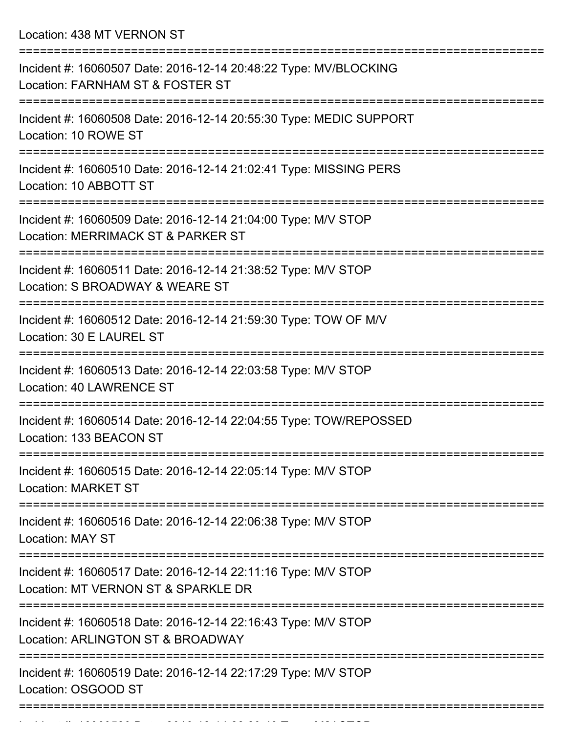Location: 438 MT VERNON ST

| Incident #: 16060507 Date: 2016-12-14 20:48:22 Type: MV/BLOCKING<br>Location: FARNHAM ST & FOSTER ST            |
|-----------------------------------------------------------------------------------------------------------------|
| Incident #: 16060508 Date: 2016-12-14 20:55:30 Type: MEDIC SUPPORT<br>Location: 10 ROWE ST                      |
| Incident #: 16060510 Date: 2016-12-14 21:02:41 Type: MISSING PERS<br>Location: 10 ABBOTT ST                     |
| Incident #: 16060509 Date: 2016-12-14 21:04:00 Type: M/V STOP<br>Location: MERRIMACK ST & PARKER ST             |
| Incident #: 16060511 Date: 2016-12-14 21:38:52 Type: M/V STOP<br>Location: S BROADWAY & WEARE ST                |
| Incident #: 16060512 Date: 2016-12-14 21:59:30 Type: TOW OF M/V<br>Location: 30 E LAUREL ST                     |
| Incident #: 16060513 Date: 2016-12-14 22:03:58 Type: M/V STOP<br>Location: 40 LAWRENCE ST                       |
| Incident #: 16060514 Date: 2016-12-14 22:04:55 Type: TOW/REPOSSED<br>Location: 133 BEACON ST                    |
| Incident #: 16060515 Date: 2016-12-14 22:05:14 Type: M/V STOP<br><b>Location: MARKET ST</b>                     |
| ===================<br>Incident #: 16060516 Date: 2016-12-14 22:06:38 Type: M/V STOP<br><b>Location: MAY ST</b> |
| Incident #: 16060517 Date: 2016-12-14 22:11:16 Type: M/V STOP<br>Location: MT VERNON ST & SPARKLE DR            |
| Incident #: 16060518 Date: 2016-12-14 22:16:43 Type: M/V STOP<br>Location: ARLINGTON ST & BROADWAY              |
| Incident #: 16060519 Date: 2016-12-14 22:17:29 Type: M/V STOP<br>Location: OSGOOD ST                            |
|                                                                                                                 |

Incident #: 16060520 Date: 2016 12 14 22:29:43 Type: M/V STOP